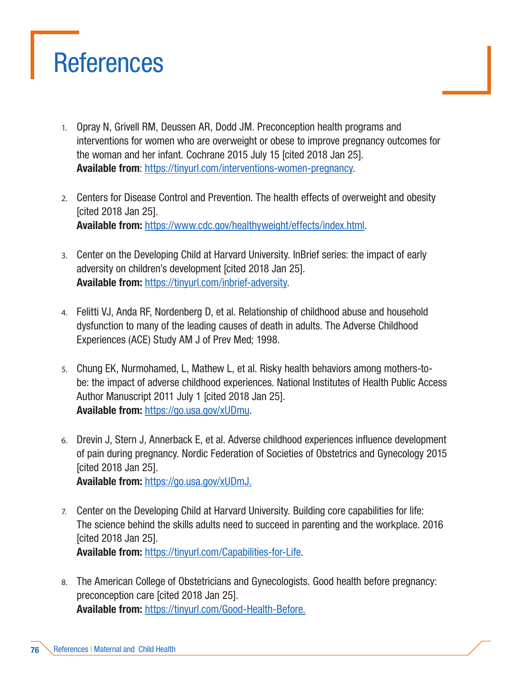## **References**

- 1. Opray N, Grivell RM, Deussen AR, Dodd JM. Preconception health programs and interventions for women who are overweight or obese to improve pregnancy outcomes for the woman and her infant. Cochrane 2015 July 15 [cited 2018 Jan 25]. Available from: https://tinyurl.com/interventions-women-pregnanc[y.](http://www.cochrane.org/CD010932/PREG_preconception-health-programs-and-interventions-women-who-are-)
- 2. Centers for Disease Control and Prevention. The health effects of overweight and obesity [cited 2018 Jan 25]. Available from: [https://www.cdc.gov/healthyweight/effects/index.html.](https://www.cdc.gov/healthyweight/effects/index.html)
- 3. Center on the Developing Child at Harvard University. InBrief series: the impact of early adversity on children's development [cited 2018 Jan 25]. Available from: https://tinyurl.com/inbrief-adversity.
- 4. Felitti VJ, Anda RF, Nordenberg D, et al. Relationship of childhood abuse and household dysfunction to many of the leading causes of death in adults. The Adverse Childhood Experiences (ACE) Study AM J of Prev Med; 1998.
- 5. Chung EK, Nurmohamed, L, Mathew L, et al. Risky health behaviors among mothers-tobe: the impact of adverse childhood experiences. National Institutes of Health Public Access Author Manuscript 2011 July 1 [cited 2018 Jan 25]. Available from: https://go.usa.gov/xUDmu[.](https://www.ncbi.nlm.nih.gov/pmc/articles/PMC2897837/pdf/nihms200573.pdf.)
- 6. Drevin J, Stern J, Annerback E, et al. Adverse childhood experiences influence development of pain during pregnancy. Nordic Federation of Societies of Obstetrics and Gynecology 2015 [cited 2018 Jan 25]. Available from: https://go.usa.gov/xUDm[J.](https://www.ncbi.nlm.nih.gov/pmc/articles/PMC5032994/pdf/AOGS-94-840.pdf.)
- 7. Center on the Developing Child at Harvard University. Building core capabilities for life: The science behind the skills adults need to succeed in parenting and the workplace. 2016 [cited 2018 Jan 25]. Available from: https://tinyurl.com/Capabilities-for-Life.
- 8. The American College of Obstetricians and Gynecologists. Good health before pregnancy: preconception care [cited 2018 Jan 25]. Available from: https://tinyurl.com/Good-Health-Befor[e.](http://www.acog.org/Patients/FAQs/Good-Health-Before-Pregnancy-Preconception-Care.)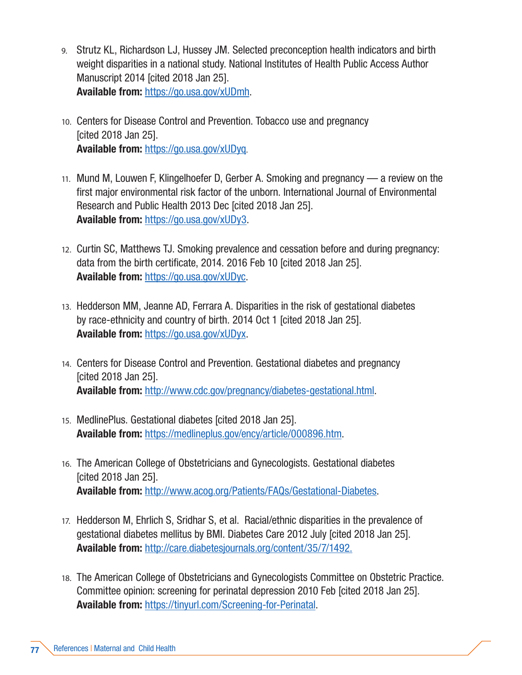- 9. Strutz KL, Richardson LJ, Hussey JM. Selected preconception health indicators and birth weight disparities in a national study. National Institutes of Health Public Access Author Manuscript 2014 [cited 2018 Jan 25]. Available from: https://go.usa.gov/xUDmh[.](https://www.ncbi.nlm.nih.gov/pmc/articles/PMC3910115/pdf/nihms531453.pdf.)
- 10. Centers for Disease Control and Prevention. Tobacco use and pregnancy [cited 2018 Jan 25]. Available from: https://go.usa.gov/xUDyq.
- 11. Mund M, Louwen F, Klingelhoefer D, Gerber A. Smoking and pregnancy a review on the first major environmental risk factor of the unborn. International Journal of Environmental Research and Public Health 2013 Dec [cited 2018 Jan 25]. Available from: https://go.usa.gov/xUDy3.
- 12. Curtin SC, Matthews TJ. Smoking prevalence and cessation before and during pregnancy: data from the birth certificate, 2014. 2016 Feb 10 [cited 2018 Jan 25]. Available from: https://go.usa.gov/xUDyc.
- 13. Hedderson MM, Jeanne AD, Ferrara A. Disparities in the risk of gestational diabetes by race-ethnicity and country of birth. 2014 Oct 1 [cited 2018 Jan 25]. Available from: https://go.usa.gov/xUDyx.
- 14. Centers for Disease Control and Prevention. Gestational diabetes and pregnancy [cited 2018 Jan 25]. Available from: [http://www.cdc.gov/pregnancy/diabetes-gestational.html.](http://www.cdc.gov/pregnancy/diabetes-gestational.html)
- 15. MedlinePlus. Gestational diabetes [cited 2018 Jan 25]. Available from: [https://medlineplus.gov/ency/article/000896.htm.](https://medlineplus.gov/ency/article/000896.htm)
- 16. The American College of Obstetricians and Gynecologists. Gestational diabetes [cited 2018 Jan 25]. Available from: [http://www.acog.org/Patients/FAQs/Gestational-Diabetes.](http://www.acog.org/Patients/FAQs/Gestational-Diabetes)
- 17. Hedderson M, Ehrlich S, Sridhar S, et al. Racial/ethnic disparities in the prevalence of gestational diabetes mellitus by BMI. Diabetes Care 2012 July [cited 2018 Jan 25]. Available from: <http://care.diabetesjournals.org/content/35/7/1492.>
- 18. The American College of Obstetricians and Gynecologists Committee on Obstetric Practice. Committee opinion: screening for perinatal depression 2010 Feb [cited 2018 Jan 25]. Available from: https://tinyurl.com/Screening-for-Perinatal.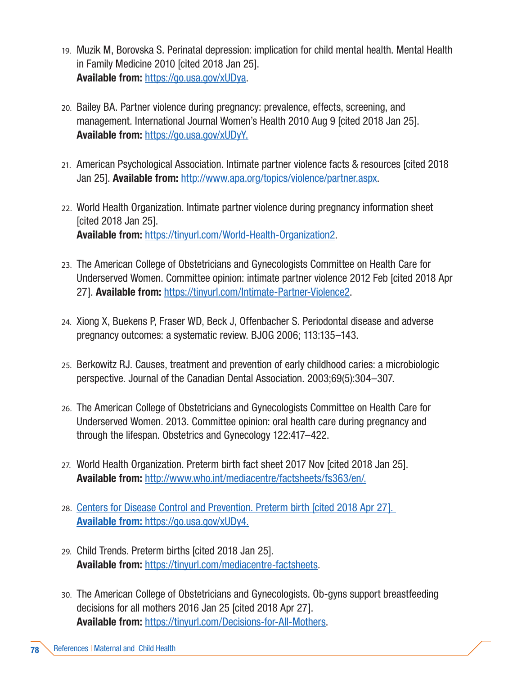- 19. Muzik M, Borovska S. Perinatal depression: implication for child mental health. Mental Health in Family Medicine 2010 [cited 2018 Jan 25]. Available from: https://go.usa.gov/xUDya.
- 20. Bailey BA. Partner violence during pregnancy: prevalence, effects, screening, and management. International Journal Women's Health 2010 Aug 9 [cited 2018 Jan 25]. Available from: https://go.usa.gov/xUDy[Y.](https://www.ncbi.nlm.nih.gov/pmc/articles/PMC2971723/.)
- 21. American Psychological Association. Intimate partner violence facts & resources [cited 2018 Jan 25]. Available from: <http://www.apa.org/topics/violence/partner.aspx>.
- 22. World Health Organization. Intimate partner violence during pregnancy information sheet [cited 2018 Jan 25]. Available from: https://tinyurl.com/World-Health-Organization[2.](http://apps.who.int/iris/bitstream/10665/70764/1/WHO_RHR_11.35_eng.pdf.)
- 23. The American College of Obstetricians and Gynecologists Committee on Health Care for Underserved Women. Committee opinion: intimate partner violence 2012 Feb [cited 2018 Apr 271. **Available from:** https://tinyurl.com/Intimate-Partner-Violence[2.](https://www.acog.org/Clinical-Guidance-and-Publications/Committee-Opinions/Committee-on-Health-Care-for-Underserved-Women/Intimate-Partner-Violence.)
- 24. Xiong X, Buekens P, Fraser WD, Beck J, Offenbacher S. Periodontal disease and adverse pregnancy outcomes: a systematic review. BJOG 2006; 113:135–143.
- 25. Berkowitz RJ. Causes, treatment and prevention of early childhood caries: a microbiologic perspective. Journal of the Canadian Dental Association. 2003;69(5):304–307.
- 26. The American College of Obstetricians and Gynecologists Committee on Health Care for Underserved Women. 2013. Committee opinion: oral health care during pregnancy and through the lifespan. Obstetrics and Gynecology 122:417–422.
- 27. World Health Organization. Preterm birth fact sheet 2017 Nov [cited 2018 Jan 25]. Available from: <http://www.who.int/mediacentre/factsheets/fs363/en/.>
- 28. Centers for Disease Control and Prevention. Preterm birth [cited 2018 Apr 27]. Available from: https://go.usa.gov/xUDy[4.](http://www.cdc.gov/reproductivehealth/maternalinfanthealth/pretermbirth.htm)
- 29. Child Trends. Preterm births [cited 2018 Jan 25]. Available from: https://tinyurl.com/mediacentre-factsheets.
- 30. The American College of Obstetricians and Gynecologists. Ob-gyns support breastfeeding decisions for all mothers 2016 Jan 25 [cited 2018 Apr 27]. Available from: https://tinyurl.com/Decisions-for-All-Mothers.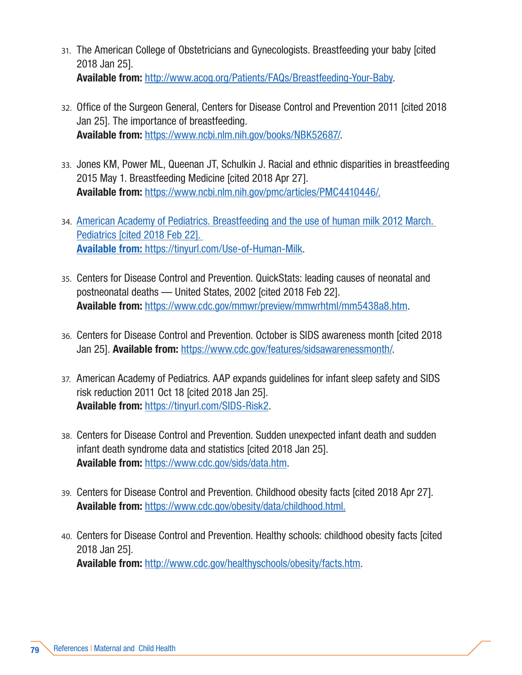- 31. The American College of Obstetricians and Gynecologists. Breastfeeding your baby [cited 2018 Jan 25]. Available from: [http://www.acog.org/Patients/FAQs/Breastfeeding-Your-Baby.](http://www.acog.org/Patients/FAQs/Breastfeeding-Your-Baby)
- 32. Office of the Surgeon General, Centers for Disease Control and Prevention 2011 [cited 2018 Jan 25]. The importance of breastfeeding. Available from: [https://www.ncbi.nlm.nih.gov/books/NBK52687/.](https://www.ncbi.nlm.nih.gov/books/NBK52687/)
- 33. Jones KM, Power ML, Queenan JT, Schulkin J. Racial and ethnic disparities in breastfeeding 2015 May 1. Breastfeeding Medicine [cited 2018 Apr 27]. Available from: [https://www.ncbi.nlm.nih.gov/pmc/articles/PMC4410446/.]( https://www.ncbi.nlm.nih.gov/pmc/articles/PMC4410446/.)
- 34. American Academy of Pediatrics. Breastfeeding and the use of human milk 2012 March. Pediatrics [cited 2018 Feb 22]. Available from: https://tinyurl.com/Use-of-Human-Milk.
- 35. Centers for Disease Control and Prevention. QuickStats: leading causes of neonatal and postneonatal deaths — United States, 2002 [cited 2018 Feb 22]. Available from: [https://www.cdc.gov/mmwr/preview/mmwrhtml/mm5438a8.htm.](https://www.cdc.gov/mmwr/preview/mmwrhtml/mm5438a8.htm)
- 36. Centers for Disease Control and Prevention. October is SIDS awareness month [cited 2018 Jan 25]. Available from: [https://www.cdc.gov/features/sidsawarenessmonth/.](https://www.cdc.gov/features/sidsawarenessmonth/)
- 37. American Academy of Pediatrics. AAP expands guidelines for infant sleep safety and SIDS risk reduction 2011 Oct 18 [cited 2018 Jan 25]. Available from: https://tinyurl.com/SIDS-Risk[2.](https://www.aap.org/en-us/about-the-aap/aap-press-room/pages/AAP-Expands-Guidelines-for-Infant-Sleep-Safety-and-SIDS-Risk-Reduction.aspx)
- 38. Centers for Disease Control and Prevention. Sudden unexpected infant death and sudden infant death syndrome data and statistics [cited 2018 Jan 25]. Available from: <https://www.cdc.gov/sids/data.htm>.
- 39. Centers for Disease Control and Prevention. Childhood obesity facts [cited 2018 Apr 27]. Available from: [https://www.cdc.gov/obesity/data/childhood.html.]( https://www.cdc.gov/obesity/data/childhood.html)
- 40. Centers for Disease Control and Prevention. Healthy schools: childhood obesity facts [cited 2018 Jan 25]. Available from: [http://www.cdc.gov/healthyschools/obesity/facts.htm.](http://www.cdc.gov/healthyschools/obesity/facts.htm)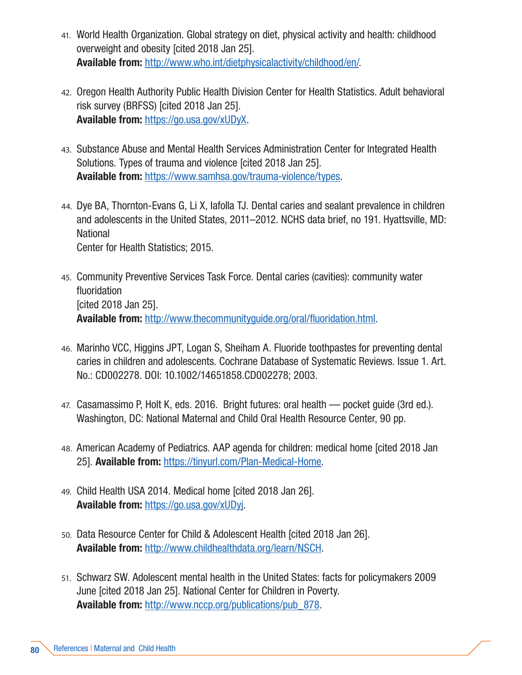- 41. World Health Organization. Global strategy on diet, physical activity and health: childhood overweight and obesity [cited 2018 Jan 25]. Available from: [http://www.who.int/dietphysicalactivity/childhood/en/.](http://www.who.int/dietphysicalactivity/childhood/en/)
- 42. Oregon Health Authority Public Health Division Center for Health Statistics. Adult behavioral risk survey (BRFSS) [cited 2018 Jan 25]. Available from: https://go.usa.gov/xUDyX.
- 43. Substance Abuse and Mental Health Services Administration Center for Integrated Health Solutions. Types of trauma and violence [cited 2018 Jan 25]. Available from: [https://www.samhsa.gov/trauma-violence/types.](https://www.samhsa.gov/trauma-violence/types)
- 44. Dye BA, Thornton-Evans G, Li X, Iafolla TJ. Dental caries and sealant prevalence in children and adolescents in the United States, 2011–2012. NCHS data brief, no 191. Hyattsville, MD: **National** Center for Health Statistics; 2015.
- 45. Community Preventive Services Task Force. Dental caries (cavities): community water fluoridation [cited 2018 Jan 25]. Available from: <http://www.thecommunityguide.org/oral/fluoridation.html>.
- 46. Marinho VCC, Higgins JPT, Logan S, Sheiham A. Fluoride toothpastes for preventing dental caries in children and adolescents. Cochrane Database of Systematic Reviews. Issue 1. Art. No.: CD002278. DOI: 10.1002/14651858.CD002278; 2003.
- 47. Casamassimo P, Holt K, eds. 2016. Bright futures: oral health pocket guide (3rd ed.). Washington, DC: National Maternal and Child Oral Health Resource Center, 90 pp.
- 48. American Academy of Pediatrics. AAP agenda for children: medical home [cited 2018 Jan 25]. Available from: https://tinyurl.com/Plan-Medical-Home.
- 49. Child Health USA 2014. Medical home [cited 2018 Jan 26]. Available from: https://go.usa.gov/xUDyj.
- 50. Data Resource Center for Child & Adolescent Health [cited 2018 Jan 26]. Available from: <http://www.childhealthdata.org/learn/NSCH>.
- 51. Schwarz SW. Adolescent mental health in the United States: facts for policymakers 2009 June [cited 2018 Jan 25]. National Center for Children in Poverty. Available from: [http://www.nccp.org/publications/pub\\_878.](http://www.nccp.org/publications/pub_878)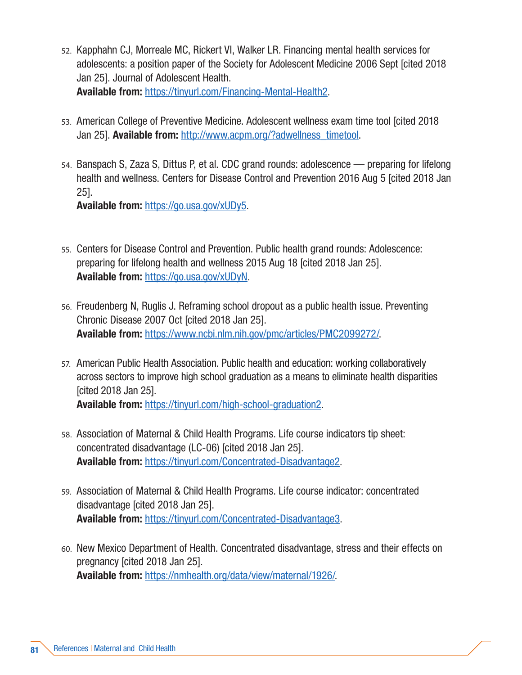- 52. Kapphahn CJ, Morreale MC, Rickert VI, Walker LR. Financing mental health services for adolescents: a position paper of the Society for Adolescent Medicine 2006 Sept [cited 2018 Jan 25]. Journal of Adolescent Health. Available from: https://tinyurl.com/Financing-Mental-Health2.
- 53. American College of Preventive Medicine. Adolescent wellness exam time tool [cited 2018 Jan 25]. **Available from:** http://www.acpm.org/?adwellness\_timetool.
- 54. Banspach S, Zaza S, Dittus P, et al. CDC grand rounds: adolescence preparing for lifelong health and wellness. Centers for Disease Control and Prevention 2016 Aug 5 [cited 2018 Jan 25].

Available from: https://go.usa.gov/xUDy5.

- 55. Centers for Disease Control and Prevention. Public health grand rounds: Adolescence: preparing for lifelong health and wellness 2015 Aug 18 [cited 2018 Jan 25]. Available from: https://go.usa.gov/xUDyN.
- 56. Freudenberg N, Ruglis J. Reframing school dropout as a public health issue. Preventing Chronic Disease 2007 Oct [cited 2018 Jan 25]. Available from: https://www.ncbi.nlm.nih.gov/pmc/articles/PMC2099272/.
- 57. American Public Health Association. Public health and education: working collaboratively across sectors to improve high school graduation as a means to eliminate health disparities [cited 2018 Jan 25]. Available from: https://tinyurl.com/high-school-graduation2.
- 58. Association of Maternal & Child Health Programs. Life course indicators tip sheet: concentrated disadvantage (LC-06) [cited 2018 Jan 25]. Available from: https://tinyurl.com/Concentrated-Disadvantage2.
- 59. Association of Maternal & Child Health Programs. Life course indicator: concentrated disadvantage [cited 2018 Jan 25]. Available from: https://tinyurl.com/Concentrated-Disadvantage3.
- 60. New Mexico Department of Health. Concentrated disadvantage, stress and their effects on pregnancy [cited 2018 Jan 25]. Available from: https://nmhealth.org/data/view/maternal/1926/.